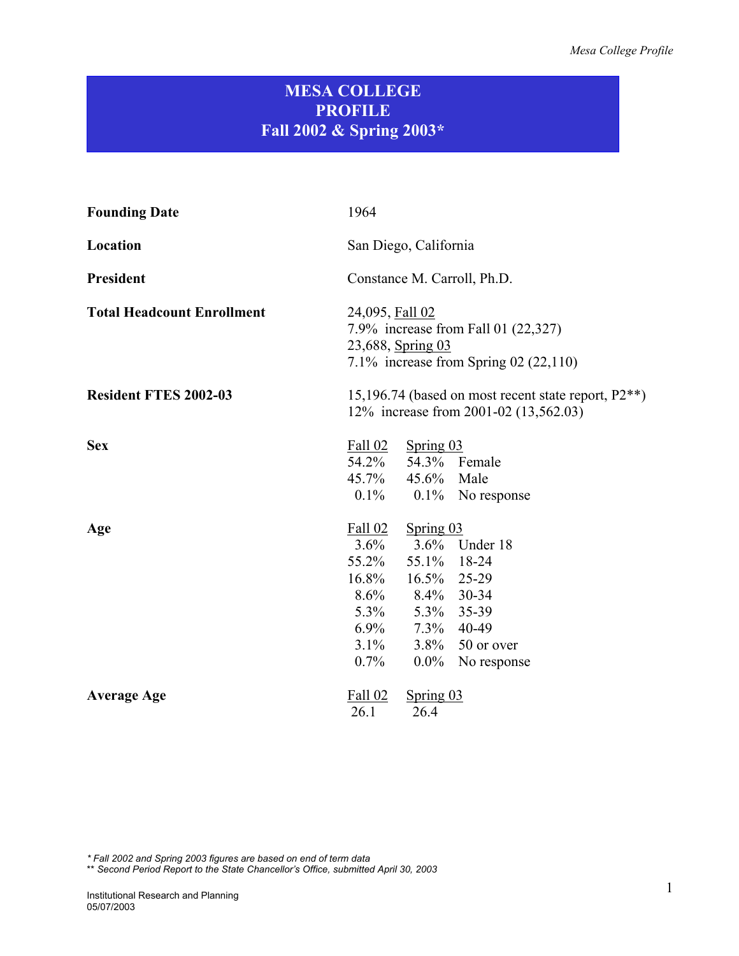## **MESA COLLEGE PROFILE Fall 2002 & Spring 2003\***

| <b>Founding Date</b>              | 1964                                                                                                                                                                                                                     |  |  |
|-----------------------------------|--------------------------------------------------------------------------------------------------------------------------------------------------------------------------------------------------------------------------|--|--|
| Location                          | San Diego, California                                                                                                                                                                                                    |  |  |
| President                         | Constance M. Carroll, Ph.D.                                                                                                                                                                                              |  |  |
| <b>Total Headcount Enrollment</b> | 24,095, Fall 02<br>7.9% increase from Fall 01 (22,327)<br>23,688, Spring 03<br>7.1% increase from Spring 02 $(22,110)$                                                                                                   |  |  |
| <b>Resident FTES 2002-03</b>      | 15,196.74 (based on most recent state report, $P2**$ )<br>12% increase from 2001-02 (13,562.03)                                                                                                                          |  |  |
| <b>Sex</b>                        | Fall 02<br>Spring 03<br>54.2% 54.3% Female<br>45.7% 45.6% Male<br>$0.1\%$ 0.1% No response                                                                                                                               |  |  |
| Age                               | Fall 02<br>Spring 03<br>$3.6\%$<br>3.6% Under 18<br>55.2%<br>55.1% 18-24<br>16.8% 16.5% 25-29<br>8.6% 8.4% 30-34<br>5.3% 5.3% 35-39<br>6.9% 7.3% 40-49<br>$3.1\%$<br>3.8% $50$ or over<br>$0.7\%$<br>$0.0\%$ No response |  |  |
| <b>Average Age</b>                | Spring 03<br>Fall 02<br>26.1<br>26.4                                                                                                                                                                                     |  |  |

*\* Fall 2002 and Spring 2003 figures are based on end of term data* 

\*\* *Second Period Report to the State Chancellor's Office, submitted April 30, 2003*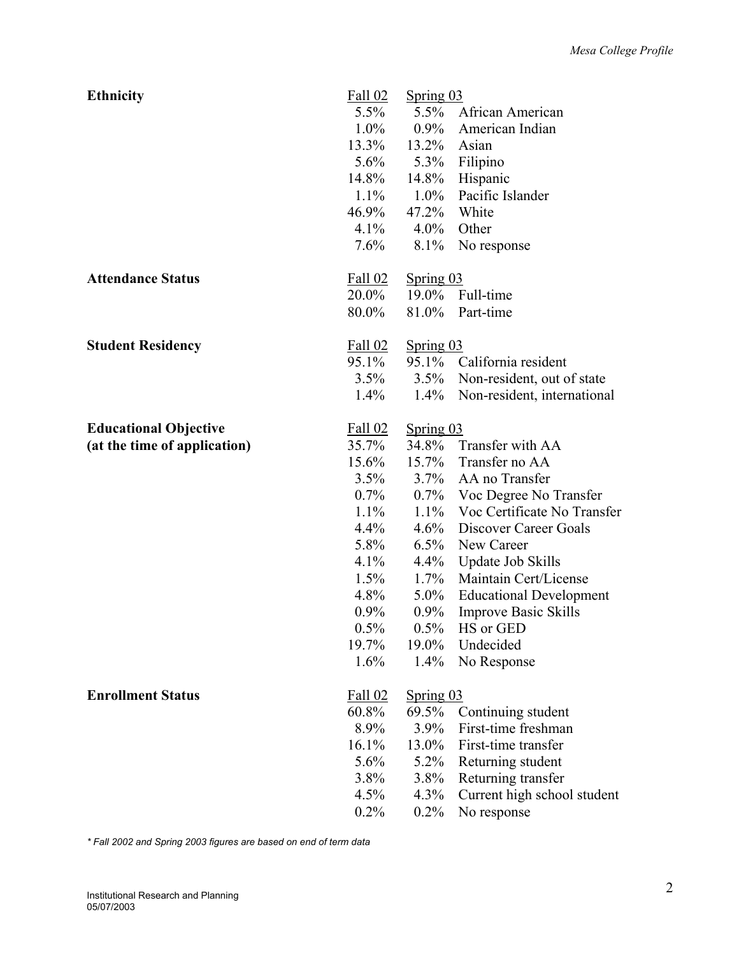| <b>Ethnicity</b>             | Fall 02        | Spring 03   |                                |
|------------------------------|----------------|-------------|--------------------------------|
|                              | $5.5\%$        |             | 5.5% African American          |
|                              | $1.0\%$        | $0.9\%$     | American Indian                |
|                              | 13.3%          | 13.2%       | Asian                          |
|                              | $5.6\%$        | $5.3\%$     | Filipino                       |
|                              | 14.8%          | $14.8\%$    | Hispanic                       |
|                              | $1.1\%$        | $1.0\%$     | Pacific Islander               |
|                              | 46.9%          | $47.2\%$    | White                          |
|                              | $4.1\%$        | $4.0\%$     | Other                          |
|                              | $7.6\%$        | $8.1\%$     | No response                    |
| <b>Attendance Status</b>     | Fall 02        | Spring 03   |                                |
|                              | $20.0\%$       | $19.0\%$    | Full-time                      |
|                              | 80.0%          | 81.0%       | Part-time                      |
| <b>Student Residency</b>     | Fall 02        | Spring 03   |                                |
|                              | 95.1%          | 95.1%       | California resident            |
|                              | 3.5%           | $3.5\%$     | Non-resident, out of state     |
|                              | $1.4\%$        | $1.4\%$     | Non-resident, international    |
| <b>Educational Objective</b> | Fall 02        | Spring $03$ |                                |
| (at the time of application) | 35.7%          |             | 34.8% Transfer with AA         |
|                              | 15.6%          | $15.7\%$    | Transfer no AA                 |
|                              | $3.5\%$        | $3.7\%$     | AA no Transfer                 |
|                              | $0.7\%$        | $0.7\%$     | Voc Degree No Transfer         |
|                              | $1.1\%$        | $1.1\%$     | Voc Certificate No Transfer    |
|                              | $4.4\%$        | 4.6%        | Discover Career Goals          |
|                              | 5.8%           | $6.5\%$     | New Career                     |
|                              | $4.1\%$        | $4.4\%$     | <b>Update Job Skills</b>       |
|                              | $1.5\%$        | $1.7\%$     | Maintain Cert/License          |
|                              | $4.8\%$        | $5.0\%$     | <b>Educational Development</b> |
|                              | $0.9\%$        | $0.9\%$     | <b>Improve Basic Skills</b>    |
|                              | $0.5\%$        | $0.5\%$     | HS or GED                      |
|                              | 19.7%          | 19.0%       | Undecided                      |
|                              | 1.6%           | $1.4\%$     | No Response                    |
| <b>Enrollment Status</b>     | <b>Fall 02</b> | Spring 03   |                                |
|                              | 60.8%          | 69.5%       | Continuing student             |
|                              | 8.9%           | 3.9%        | First-time freshman            |
|                              | 16.1%          | 13.0%       | First-time transfer            |
|                              | 5.6%           | 5.2%        | Returning student              |
|                              | $3.8\%$        | 3.8%        | Returning transfer             |
|                              | 4.5%           | 4.3%        | Current high school student    |
|                              | $0.2\%$        | $0.2\%$     | No response                    |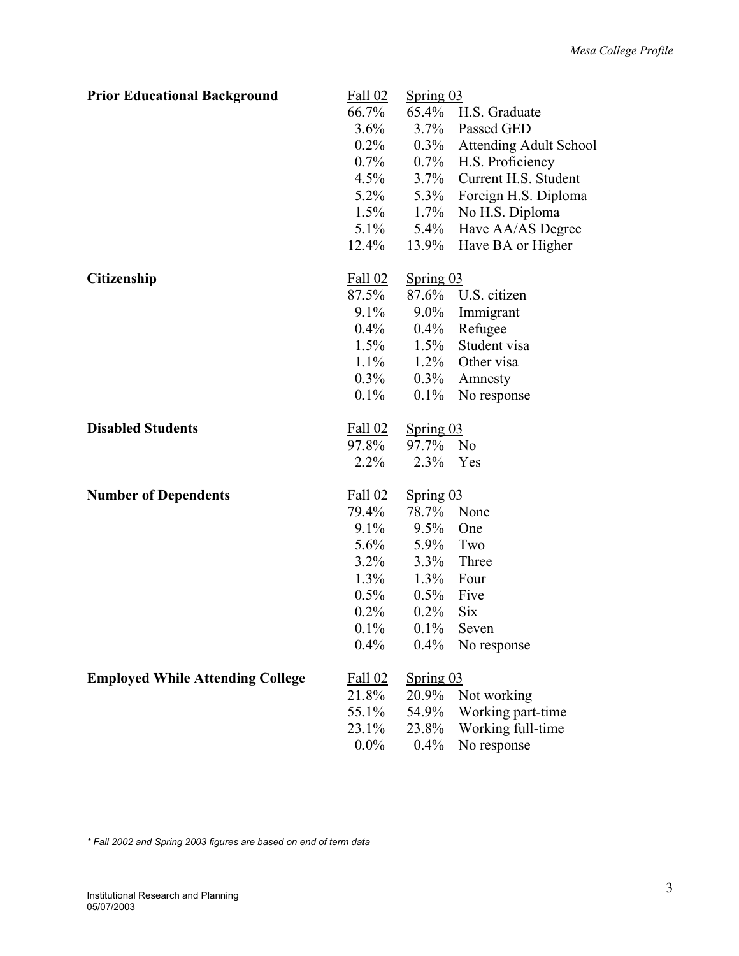| <b>Prior Educational Background</b>     | Fall 02        | Spring 03 |                               |
|-----------------------------------------|----------------|-----------|-------------------------------|
|                                         | 66.7%          |           | 65.4% H.S. Graduate           |
|                                         | 3.6%           | $3.7\%$   | Passed GED                    |
|                                         | $0.2\%$        | $0.3\%$   | <b>Attending Adult School</b> |
|                                         | $0.7\%$        | $0.7\%$   | H.S. Proficiency              |
|                                         | $4.5\%$        | $3.7\%$   | Current H.S. Student          |
|                                         | $5.2\%$        | $5.3\%$   | Foreign H.S. Diploma          |
|                                         | $1.5\%$        | $1.7\%$   | No H.S. Diploma               |
|                                         | $5.1\%$        | $5.4\%$   | Have AA/AS Degree             |
|                                         | $12.4\%$       | 13.9%     | Have BA or Higher             |
| <b>Citizenship</b>                      | Fall 02        | Spring 03 |                               |
|                                         | 87.5%          | 87.6%     | U.S. citizen                  |
|                                         | $9.1\%$        | $9.0\%$   | Immigrant                     |
|                                         | $0.4\%$        | $0.4\%$   | Refugee                       |
|                                         | $1.5\%$        | $1.5\%$   | Student visa                  |
|                                         | $1.1\%$        | $1.2\%$   | Other visa                    |
|                                         | $0.3\%$        | $0.3\%$   | Amnesty                       |
|                                         | $0.1\%$        | $0.1\%$   | No response                   |
| <b>Disabled Students</b>                | Fall 02        | Spring 03 |                               |
|                                         | 97.8%          | 97.7%     | N <sub>0</sub>                |
|                                         | 2.2%           | 2.3%      | Yes                           |
| <b>Number of Dependents</b>             | Fall 02        | Spring 03 |                               |
|                                         | 79.4%          | 78.7%     | None                          |
|                                         | $9.1\%$        | 9.5%      | One                           |
|                                         | $5.6\%$        | $5.9\%$   | Two                           |
|                                         | $3.2\%$        | $3.3\%$   | Three                         |
|                                         | $1.3\%$        | $1.3\%$   | Four                          |
|                                         | $0.5\%$        | $0.5\%$   | Five                          |
|                                         | 0.2%           | $0.2\%$   | <b>Six</b>                    |
|                                         | $0.1\%$        | 0.1%      | Seven                         |
|                                         | 0.4%           | $0.4\%$   | No response                   |
| <b>Employed While Attending College</b> | <b>Fall 02</b> | Spring 03 |                               |
|                                         | 21.8%          | 20.9%     | Not working                   |
|                                         | 55.1%          | 54.9%     | Working part-time             |
|                                         | 23.1%          | 23.8%     | Working full-time             |
|                                         | $0.0\%$        | $0.4\%$   | No response                   |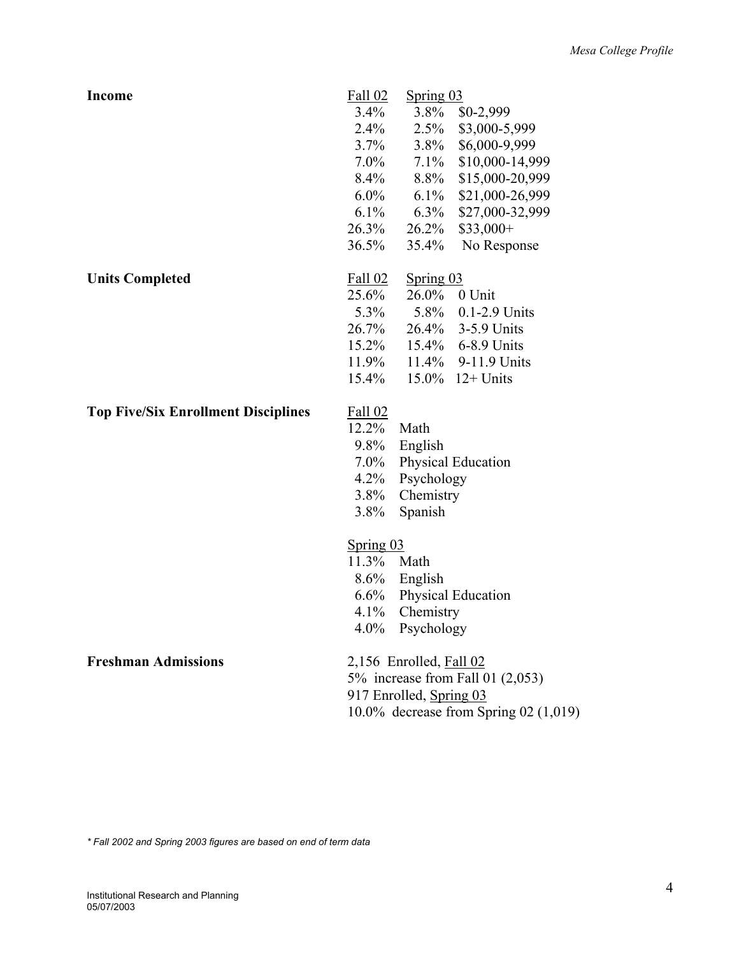| <b>Income</b>                              | Fall 02    | Spring $03$                 |                                         |
|--------------------------------------------|------------|-----------------------------|-----------------------------------------|
|                                            | $3.4\%$    | $3.8\%$                     | $$0-2,999$                              |
|                                            | $2.4\%$    | 2.5%                        | \$3,000-5,999                           |
|                                            | $3.7\%$    | $3.8\%$                     | \$6,000-9,999                           |
|                                            | $7.0\%$    | $7.1\%$                     | \$10,000-14,999                         |
|                                            | $8.4\%$    | 8.8%                        | \$15,000-20,999                         |
|                                            | $6.0\%$    | $6.1\%$                     | \$21,000-26,999                         |
|                                            | $6.1\%$    | $6.3\%$                     | \$27,000-32,999                         |
|                                            | $26.3\%$   | $26.2\%$                    | $$33,000+$                              |
|                                            | 36.5%      | 35.4%                       | No Response                             |
| <b>Units Completed</b>                     | Fall 02    | Spring 03                   |                                         |
|                                            | 25.6%      | $26.0\%$                    | 0 Unit                                  |
|                                            | $5.3\%$    | 5.8%                        | $0.1 - 2.9$ Units                       |
|                                            | 26.7%      |                             | 26.4% 3-5.9 Units                       |
|                                            | $15.2\%$   |                             | 15.4% 6-8.9 Units                       |
|                                            | $11.9\%$   | $11.4\%$                    | 9-11.9 Units                            |
|                                            | $15.4\%$   | $15.0\%$                    | $12+$ Units                             |
| <b>Top Five/Six Enrollment Disciplines</b> | Fall 02    |                             |                                         |
|                                            | $12.2\%$   | Math                        |                                         |
|                                            | $9.8\%$    | English                     |                                         |
|                                            | $7.0\%$    |                             | Physical Education                      |
|                                            | $4.2\%$    | Psychology                  |                                         |
|                                            | $3.8\%$    | Chemistry                   |                                         |
|                                            | 3.8%       | Spanish                     |                                         |
|                                            | Spring 03  |                             |                                         |
|                                            | 11.3% Math |                             |                                         |
|                                            |            | $8.6\%$ English             |                                         |
|                                            | $6.6\%$    |                             | Physical Education                      |
|                                            | $4.1\%$    | Chemistry                   |                                         |
|                                            |            | 4.0% Psychology             |                                         |
| <b>Freshman Admissions</b>                 |            | $2,156$ Enrolled, Fall $02$ |                                         |
|                                            |            |                             | 5% increase from Fall 01 $(2,053)$      |
|                                            |            | 917 Enrolled, Spring 03     |                                         |
|                                            |            |                             | 10.0% decrease from Spring 02 $(1,019)$ |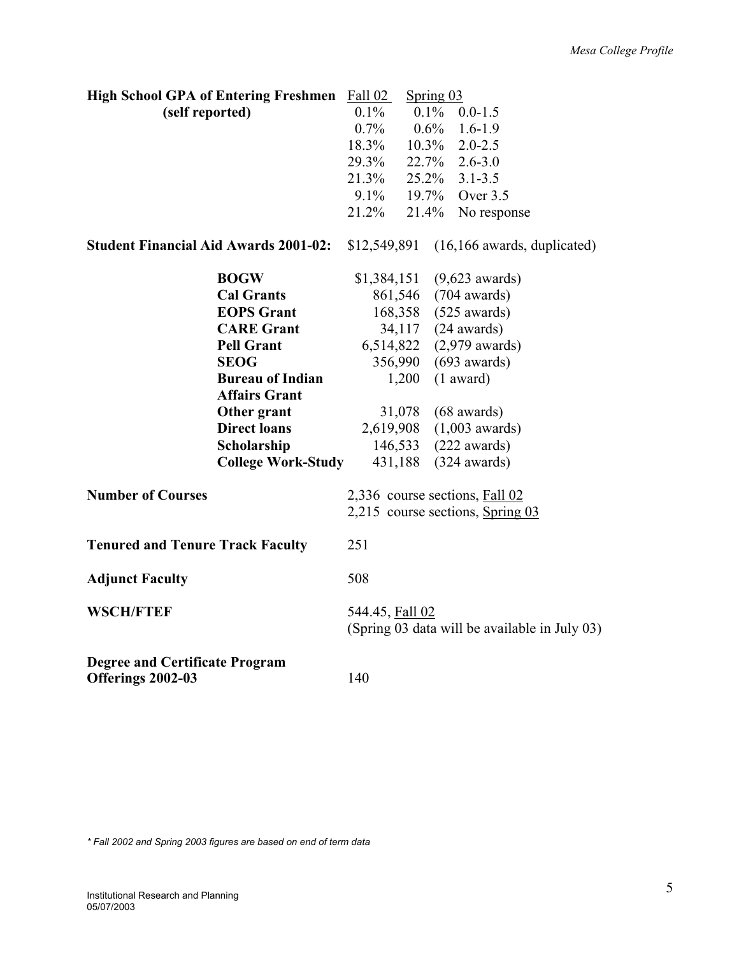| <b>High School GPA of Entering Freshmen</b>                |                           | Fall 02         | Spring $03$ |                                                                    |
|------------------------------------------------------------|---------------------------|-----------------|-------------|--------------------------------------------------------------------|
| (self reported)                                            |                           | $0.1\%$         | $0.1\%$     | $0.0 - 1.5$                                                        |
|                                                            |                           | $0.7\%$         | $0.6\%$     | $1.6 - 1.9$                                                        |
|                                                            |                           | 18.3%           | $10.3\%$    | $2.0 - 2.5$                                                        |
|                                                            |                           | 29.3%           |             | 22.7% 2.6-3.0                                                      |
|                                                            |                           | 21.3%           |             | $25.2\%$ 3.1-3.5                                                   |
|                                                            |                           | $9.1\%$         | 19.7%       | Over 3.5                                                           |
|                                                            |                           | 21.2%           | 21.4%       | No response                                                        |
| <b>Student Financial Aid Awards 2001-02:</b>               |                           | \$12,549,891    |             | $(16, 166$ awards, duplicated)                                     |
|                                                            | <b>BOGW</b>               | \$1,384,151     |             | $(9,623$ awards)                                                   |
|                                                            | <b>Cal Grants</b>         | 861,546         |             | $(704 \text{ awards})$                                             |
|                                                            | <b>EOPS</b> Grant         |                 |             | 168,358 (525 awards)                                               |
|                                                            | <b>CARE Grant</b>         |                 | 34,117      | $(24 \text{ awards})$                                              |
|                                                            | <b>Pell Grant</b>         | 6,514,822       |             | $(2,979 \text{ awards})$                                           |
|                                                            | <b>SEOG</b>               | 356,990         |             | $(693$ awards)                                                     |
|                                                            | <b>Bureau of Indian</b>   |                 | 1,200       | $(1$ award)                                                        |
|                                                            | <b>Affairs Grant</b>      |                 |             |                                                                    |
|                                                            | Other grant               |                 | 31,078      | $(68 \text{ awards})$                                              |
|                                                            | <b>Direct loans</b>       | 2,619,908       |             | $(1,003$ awards)                                                   |
|                                                            | Scholarship               | 146,533         |             | $(222$ awards)                                                     |
|                                                            | <b>College Work-Study</b> | 431,188         |             | $(324$ awards)                                                     |
| <b>Number of Courses</b>                                   |                           |                 |             | 2,336 course sections, Fall 02<br>2,215 course sections, Spring 03 |
| <b>Tenured and Tenure Track Faculty</b>                    |                           | 251             |             |                                                                    |
| <b>Adjunct Faculty</b>                                     |                           | 508             |             |                                                                    |
| <b>WSCH/FTEF</b>                                           |                           | 544.45, Fall 02 |             | (Spring 03 data will be available in July 03)                      |
| <b>Degree and Certificate Program</b><br>Offerings 2002-03 |                           | 140             |             |                                                                    |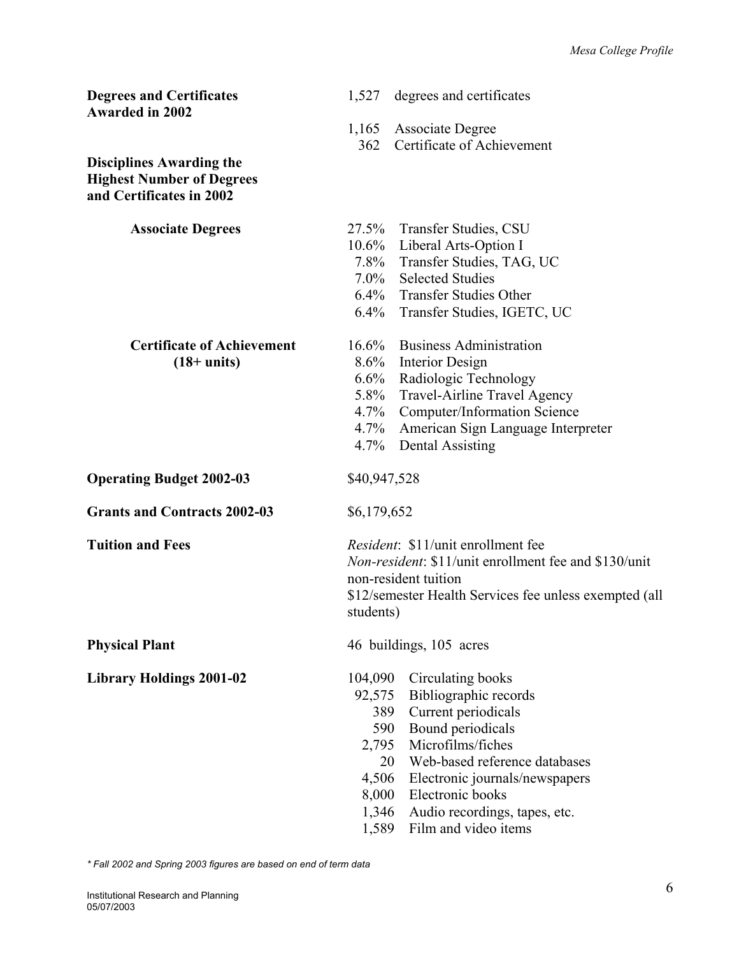| <b>Degrees and Certificates</b><br><b>Awarded in 2002</b>                                       | 1,527<br>degrees and certificates                                                                                                                                                                                                                                                                                                                 |
|-------------------------------------------------------------------------------------------------|---------------------------------------------------------------------------------------------------------------------------------------------------------------------------------------------------------------------------------------------------------------------------------------------------------------------------------------------------|
|                                                                                                 | <b>Associate Degree</b><br>1,165<br>Certificate of Achievement<br>362                                                                                                                                                                                                                                                                             |
| <b>Disciplines Awarding the</b><br><b>Highest Number of Degrees</b><br>and Certificates in 2002 |                                                                                                                                                                                                                                                                                                                                                   |
| <b>Associate Degrees</b>                                                                        | 27.5% Transfer Studies, CSU<br>10.6% Liberal Arts-Option I<br>7.8% Transfer Studies, TAG, UC<br>7.0% Selected Studies<br>6.4% Transfer Studies Other<br>$6.4\%$<br>Transfer Studies, IGETC, UC                                                                                                                                                    |
| <b>Certificate of Achievement</b><br>$(18+units)$                                               | <b>Business Administration</b><br>16.6%<br>8.6%<br>Interior Design<br>6.6%<br>Radiologic Technology<br>5.8% Travel-Airline Travel Agency<br>4.7% Computer/Information Science<br>4.7%<br>American Sign Language Interpreter<br>4.7%<br><b>Dental Assisting</b>                                                                                    |
| <b>Operating Budget 2002-03</b>                                                                 | \$40,947,528                                                                                                                                                                                                                                                                                                                                      |
| <b>Grants and Contracts 2002-03</b>                                                             | \$6,179,652                                                                                                                                                                                                                                                                                                                                       |
| <b>Tuition and Fees</b>                                                                         | <i>Resident</i> : \$11/ <i>unit</i> enrollment fee<br><i>Non-resident:</i> \$11/ <i>unit enrollment fee and \$130/unit</i><br>non-resident tuition<br>\$12/semester Health Services fee unless exempted (all<br>students)                                                                                                                         |
| <b>Physical Plant</b>                                                                           | 46 buildings, 105 acres                                                                                                                                                                                                                                                                                                                           |
| <b>Library Holdings 2001-02</b>                                                                 | 104,090<br>Circulating books<br>Bibliographic records<br>92,575<br>Current periodicals<br>389<br>Bound periodicals<br>590<br>Microfilms/fiches<br>2,795<br>Web-based reference databases<br>20<br>4,506<br>Electronic journals/newspapers<br>Electronic books<br>8,000<br>1,346<br>Audio recordings, tapes, etc.<br>Film and video items<br>1,589 |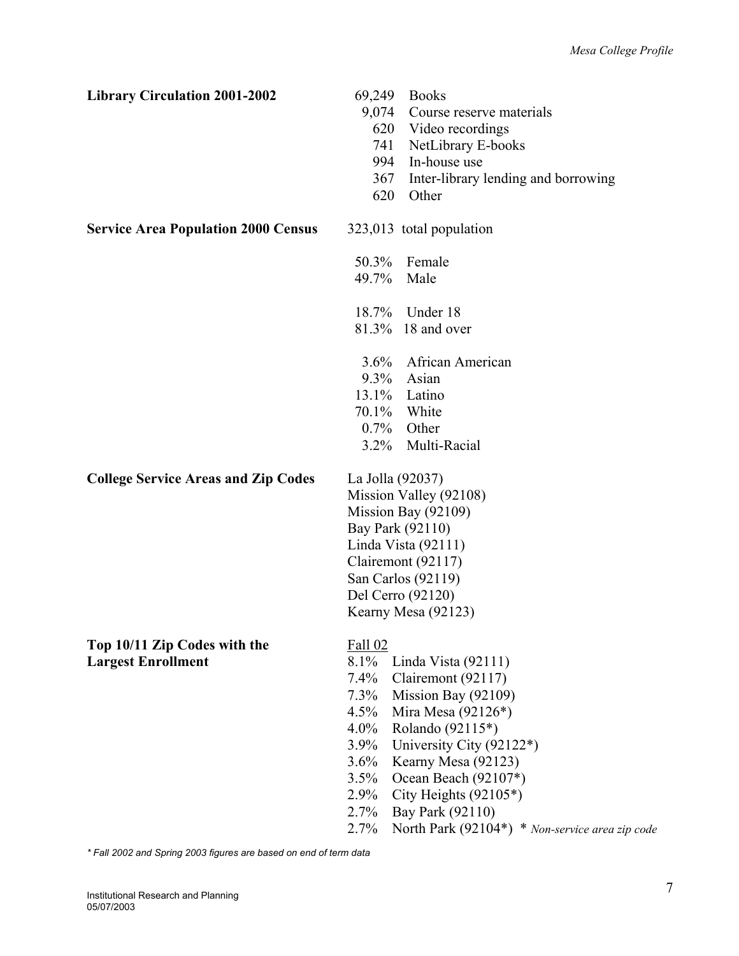| <b>Library Circulation 2001-2002</b>       | 69,249<br>9,074<br>620<br>741<br>994<br>367<br>620 | <b>Books</b><br>Course reserve materials<br>Video recordings<br>NetLibrary E-books<br>In-house use<br>Inter-library lending and borrowing<br>Other |
|--------------------------------------------|----------------------------------------------------|----------------------------------------------------------------------------------------------------------------------------------------------------|
| <b>Service Area Population 2000 Census</b> |                                                    | 323,013 total population                                                                                                                           |
|                                            | 50.3%                                              | Female                                                                                                                                             |
|                                            | 49.7% Male                                         |                                                                                                                                                    |
|                                            |                                                    | 18.7% Under 18                                                                                                                                     |
|                                            |                                                    | 81.3% 18 and over                                                                                                                                  |
|                                            | $3.6\%$                                            | African American                                                                                                                                   |
|                                            | $9.3\%$                                            | Asian                                                                                                                                              |
|                                            |                                                    | 13.1% Latino                                                                                                                                       |
|                                            |                                                    | 70.1% White                                                                                                                                        |
|                                            |                                                    | $0.7\%$ Other                                                                                                                                      |
|                                            | $3.2\%$                                            | Multi-Racial                                                                                                                                       |
| <b>College Service Areas and Zip Codes</b> | La Jolla (92037)                                   |                                                                                                                                                    |
|                                            |                                                    | Mission Valley (92108)                                                                                                                             |
|                                            |                                                    | Mission Bay (92109)                                                                                                                                |
|                                            |                                                    | Bay Park (92110)                                                                                                                                   |
|                                            |                                                    | Linda Vista (92111)                                                                                                                                |
|                                            |                                                    | Clairemont (92117)                                                                                                                                 |
|                                            |                                                    | San Carlos (92119)                                                                                                                                 |
|                                            |                                                    | Del Cerro (92120)                                                                                                                                  |
|                                            |                                                    | Kearny Mesa (92123)                                                                                                                                |
| Top 10/11 Zip Codes with the               | Fall 02                                            |                                                                                                                                                    |
| <b>Largest Enrollment</b>                  | $8.1\%$                                            | Linda Vista $(92111)$                                                                                                                              |
|                                            | $7.4\%$                                            | Clairemont (92117)                                                                                                                                 |
|                                            | $7.3\%$                                            | Mission Bay (92109)                                                                                                                                |
|                                            | $4.5\%$                                            | Mira Mesa $(92126*)$                                                                                                                               |
|                                            | $4.0\%$                                            | Rolando (92115*)                                                                                                                                   |
|                                            | $3.9\%$                                            | University City (92122*)                                                                                                                           |
|                                            | $3.6\%$                                            | Kearny Mesa (92123)                                                                                                                                |
|                                            | 3.5%<br>$2.9\%$                                    | Ocean Beach (92107*)<br>City Heights $(92105*)$                                                                                                    |
|                                            | 2.7%                                               | Bay Park (92110)                                                                                                                                   |
|                                            | 2.7%                                               | North Park (92104*) * Non-service area zip code                                                                                                    |
|                                            |                                                    |                                                                                                                                                    |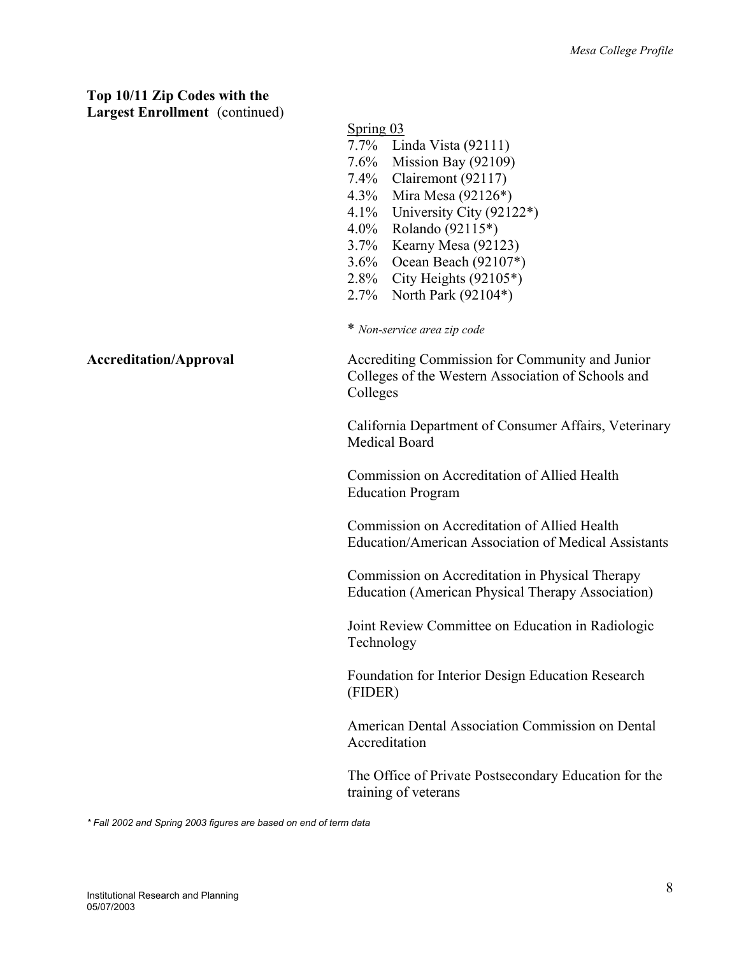## **Top 10/11 Zip Codes with the**

**Largest Enrollment** (continued)

|                               | Spring 03                                                                                                         |
|-------------------------------|-------------------------------------------------------------------------------------------------------------------|
|                               | $7.7\%$<br>Linda Vista (92111)                                                                                    |
|                               | Mission Bay (92109)<br>7.6%                                                                                       |
|                               | 7.4% Clairemont (92117)                                                                                           |
|                               | 4.3% Mira Mesa (92126*)                                                                                           |
|                               | University City (92122*)<br>4.1%                                                                                  |
|                               | $4.0\%$<br>Rolando (92115*)                                                                                       |
|                               | 3.7% Kearny Mesa (92123)                                                                                          |
|                               | 3.6% Ocean Beach (92107*)                                                                                         |
|                               | 2.8% City Heights $(92105^*)$                                                                                     |
|                               | 2.7% North Park (92104*)                                                                                          |
|                               | * Non-service area zip code                                                                                       |
| <b>Accreditation/Approval</b> | Accrediting Commission for Community and Junior<br>Colleges of the Western Association of Schools and<br>Colleges |
|                               | California Department of Consumer Affairs, Veterinary<br><b>Medical Board</b>                                     |
|                               | Commission on Accreditation of Allied Health<br><b>Education Program</b>                                          |
|                               | Commission on Accreditation of Allied Health<br><b>Education/American Association of Medical Assistants</b>       |
|                               | Commission on Accreditation in Physical Therapy<br><b>Education (American Physical Therapy Association)</b>       |
|                               | Joint Review Committee on Education in Radiologic<br>Technology                                                   |
|                               | Foundation for Interior Design Education Research<br>(FIDER)                                                      |
|                               | American Dental Association Commission on Dental<br>Accreditation                                                 |
|                               | The Office of Private Postsecondary Education for the<br>training of veterans                                     |
|                               |                                                                                                                   |